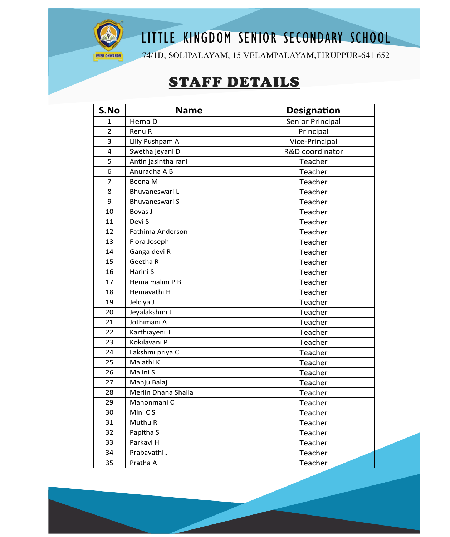

## LITTLE KINGDOM SENIOR SECONDARY SCHOOL

74/1D, SOLIPALAYAM, 15 VELAMPALAYAM,TIRUPPUR-641 652

## STAFF DETAILS

| S.No           | <b>Name</b>             | <b>Designation</b> |
|----------------|-------------------------|--------------------|
| 1              | Hema D                  | Senior Principal   |
| $\overline{2}$ | Renu R                  | Principal          |
| 3              | Lilly Pushpam A         | Vice-Principal     |
| 4              | Swetha jeyani D         | R&D coordinator    |
| 5              | Antin jasintha rani     | Teacher            |
| 6              | Anuradha A B            | Teacher            |
| $\overline{7}$ | Beena M                 | Teacher            |
| 8              | Bhuvaneswari L          | Teacher            |
| 9              | Bhuvaneswari S          | Teacher            |
| 10             | Bovas J                 | Teacher            |
| 11             | Devi S                  | Teacher            |
| 12             | <b>Fathima Anderson</b> | Teacher            |
| 13             | Flora Joseph            | Teacher            |
| 14             | Ganga devi R            | Teacher            |
| 15             | Geetha R                | Teacher            |
| 16             | Harini S                | Teacher            |
| 17             | Hema malini P B         | Teacher            |
| 18             | Hemavathi H             | Teacher            |
| 19             | Jelciya J               | Teacher            |
| 20             | Jeyalakshmi J           | Teacher            |
| 21             | Jothimani A             | Teacher            |
| 22             | Karthiayeni T           | Teacher            |
| 23             | Kokilavani P            | Teacher            |
| 24             | Lakshmi priya C         | Teacher            |
| 25             | Malathi K               | Teacher            |
| 26             | Malini S                | Teacher            |
| 27             | Manju Balaji            | Teacher            |
| 28             | Merlin Dhana Shaila     | Teacher            |
| 29             | Manonmani C             | Teacher            |
| 30             | Mini C S                | Teacher            |
| 31             | Muthu R                 | Teacher            |
| 32             | Papitha S               | Teacher            |
| 33             | Parkavi H               | Teacher            |
| 34             | Prabavathi J            | Teacher            |
| 35             | Pratha A                | Teacher            |